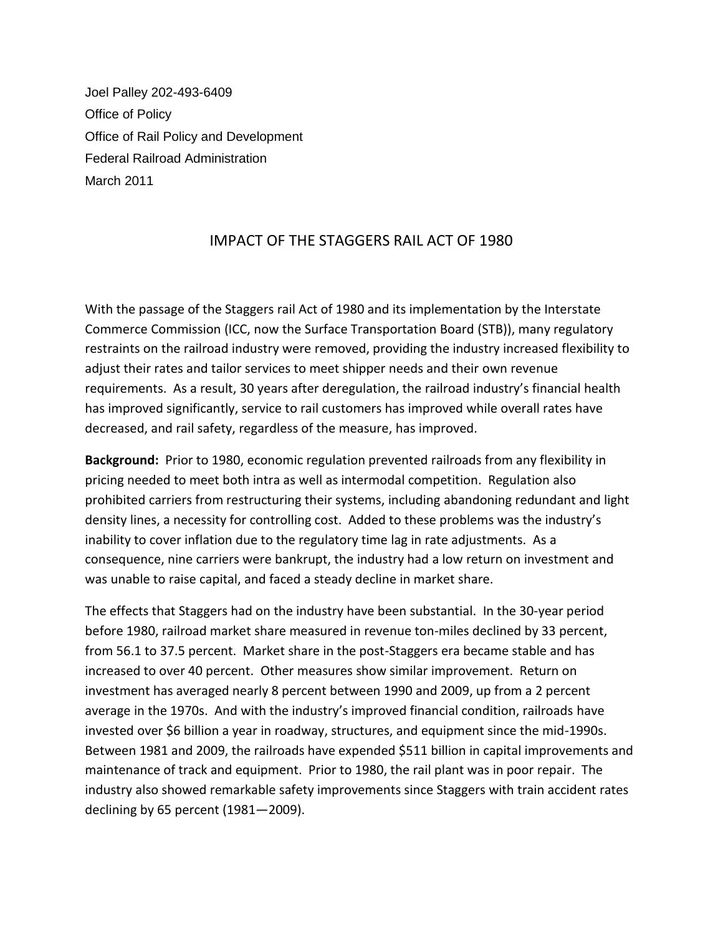Joel Palley 202-493-6409 Office of Policy Office of Rail Policy and Development Federal Railroad Administration March 2011

## IMPACT OF THE STAGGERS RAIL ACT OF 1980

With the passage of the Staggers rail Act of 1980 and its implementation by the Interstate Commerce Commission (ICC, now the Surface Transportation Board (STB)), many regulatory restraints on the railroad industry were removed, providing the industry increased flexibility to adjust their rates and tailor services to meet shipper needs and their own revenue requirements. As a result, 30 years after deregulation, the railroad industry's financial health has improved significantly, service to rail customers has improved while overall rates have decreased, and rail safety, regardless of the measure, has improved.

**Background:** Prior to 1980, economic regulation prevented railroads from any flexibility in pricing needed to meet both intra as well as intermodal competition. Regulation also prohibited carriers from restructuring their systems, including abandoning redundant and light density lines, a necessity for controlling cost. Added to these problems was the industry's inability to cover inflation due to the regulatory time lag in rate adjustments. As a consequence, nine carriers were bankrupt, the industry had a low return on investment and was unable to raise capital, and faced a steady decline in market share.

The effects that Staggers had on the industry have been substantial. In the 30-year period before 1980, railroad market share measured in revenue ton-miles declined by 33 percent, from 56.1 to 37.5 percent. Market share in the post-Staggers era became stable and has increased to over 40 percent. Other measures show similar improvement. Return on investment has averaged nearly 8 percent between 1990 and 2009, up from a 2 percent average in the 1970s. And with the industry's improved financial condition, railroads have invested over \$6 billion a year in roadway, structures, and equipment since the mid-1990s. Between 1981 and 2009, the railroads have expended \$511 billion in capital improvements and maintenance of track and equipment. Prior to 1980, the rail plant was in poor repair. The industry also showed remarkable safety improvements since Staggers with train accident rates declining by 65 percent (1981—2009).